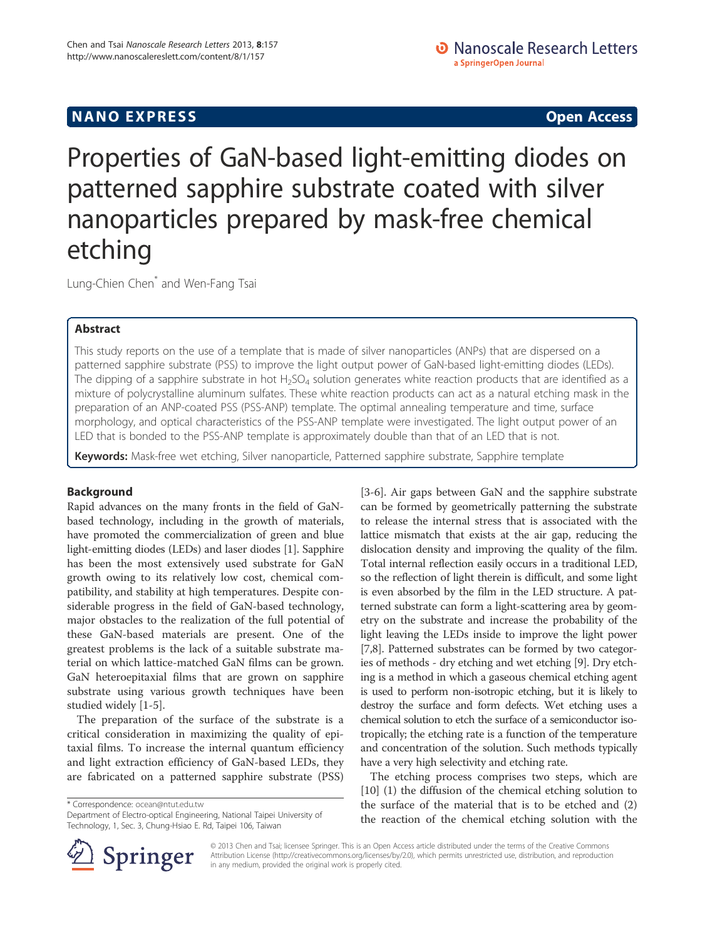# **NANO EXPRESS** Open Access **CONTROL**

Properties of GaN-based light-emitting diodes on patterned sapphire substrate coated with silver nanoparticles prepared by mask-free chemical etching

Lung-Chien Chen\* and Wen-Fang Tsai

# Abstract

This study reports on the use of a template that is made of silver nanoparticles (ANPs) that are dispersed on a patterned sapphire substrate (PSS) to improve the light output power of GaN-based light-emitting diodes (LEDs). The dipping of a sapphire substrate in hot  $H_2SO_4$  solution generates white reaction products that are identified as a mixture of polycrystalline aluminum sulfates. These white reaction products can act as a natural etching mask in the preparation of an ANP-coated PSS (PSS-ANP) template. The optimal annealing temperature and time, surface morphology, and optical characteristics of the PSS-ANP template were investigated. The light output power of an LED that is bonded to the PSS-ANP template is approximately double than that of an LED that is not.

Keywords: Mask-free wet etching, Silver nanoparticle, Patterned sapphire substrate, Sapphire template

# Background

Rapid advances on the many fronts in the field of GaNbased technology, including in the growth of materials, have promoted the commercialization of green and blue light-emitting diodes (LEDs) and laser diodes [1]. Sapphire has been the most extensively used substrate for GaN growth owing to its relatively low cost, chemical compatibility, and stability at high temperatures. Despite considerable progress in the field of GaN-based technology, major obstacles to the realization of the full potential of these GaN-based materials are present. One of the greatest problems is the lack of a suitable substrate material on which lattice-matched GaN films can be grown. GaN heteroepitaxial films that are grown on sapphire substrate using various growth techniques have been studied widely [1-5].

The preparation of the surface of the substrate is a critical consideration in maximizing the quality of epitaxial films. To increase the internal quantum efficiency and light extraction efficiency of GaN-based LEDs, they are fabricated on a patterned sapphire substrate (PSS)

\* Correspondence: ocean@ntut.edu.tw

Department of Electro-optical Engineering, National Taipei University of Technology, 1, Sec. 3, Chung-Hsiao E. Rd, Taipei 106, Taiwan

[3-6]. Air gaps between GaN and the sapphire substrate can be formed by geometrically patterning the substrate to release the internal stress that is associated with the lattice mismatch that exists at the air gap, reducing the dislocation density and improving the quality of the film. Total internal reflection easily occurs in a traditional LED, so the reflection of light therein is difficult, and some light is even absorbed by the film in the LED structure. A patterned substrate can form a light-scattering area by geometry on the substrate and increase the probability of the light leaving the LEDs inside to improve the light power [7,8]. Patterned substrates can be formed by two categories of methods - dry etching and wet etching [9]. Dry etching is a method in which a gaseous chemical etching agent is used to perform non-isotropic etching, but it is likely to destroy the surface and form defects. Wet etching uses a chemical solution to etch the surface of a semiconductor isotropically; the etching rate is a function of the temperature and concentration of the solution. Such methods typically have a very high selectivity and etching rate.

The etching process comprises two steps, which are [10] (1) the diffusion of the chemical etching solution to the surface of the material that is to be etched and (2) the reaction of the chemical etching solution with the



© 2013 Chen and Tsai; licensee Springer. This is an Open Access article distributed under the terms of the Creative Commons Attribution License (http://creativecommons.org/licenses/by/2.0), which permits unrestricted use, distribution, and reproduction in any medium, provided the original work is properly cited.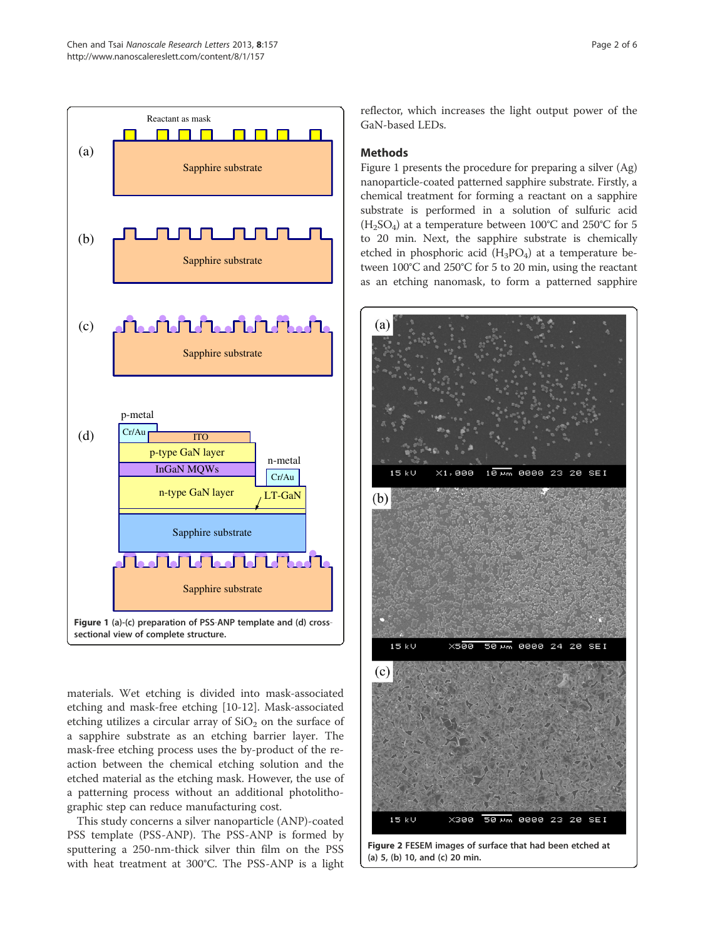

materials. Wet etching is divided into mask-associated etching and mask-free etching [10-12]. Mask-associated etching utilizes a circular array of  $SiO<sub>2</sub>$  on the surface of a sapphire substrate as an etching barrier layer. The mask-free etching process uses the by-product of the reaction between the chemical etching solution and the etched material as the etching mask. However, the use of a patterning process without an additional photolithographic step can reduce manufacturing cost.

This study concerns a silver nanoparticle (ANP)-coated PSS template (PSS-ANP). The PSS-ANP is formed by sputtering a 250-nm-thick silver thin film on the PSS with heat treatment at 300°C. The PSS-ANP is a light reflector, which increases the light output power of the GaN-based LEDs.

## Methods

Figure 1 presents the procedure for preparing a silver (Ag) nanoparticle-coated patterned sapphire substrate. Firstly, a chemical treatment for forming a reactant on a sapphire substrate is performed in a solution of sulfuric acid  $(H<sub>2</sub>SO<sub>4</sub>)$  at a temperature between 100°C and 250°C for 5 to 20 min. Next, the sapphire substrate is chemically etched in phosphoric acid  $(H_3PO_4)$  at a temperature between 100°C and 250°C for 5 to 20 min, using the reactant as an etching nanomask, to form a patterned sapphire

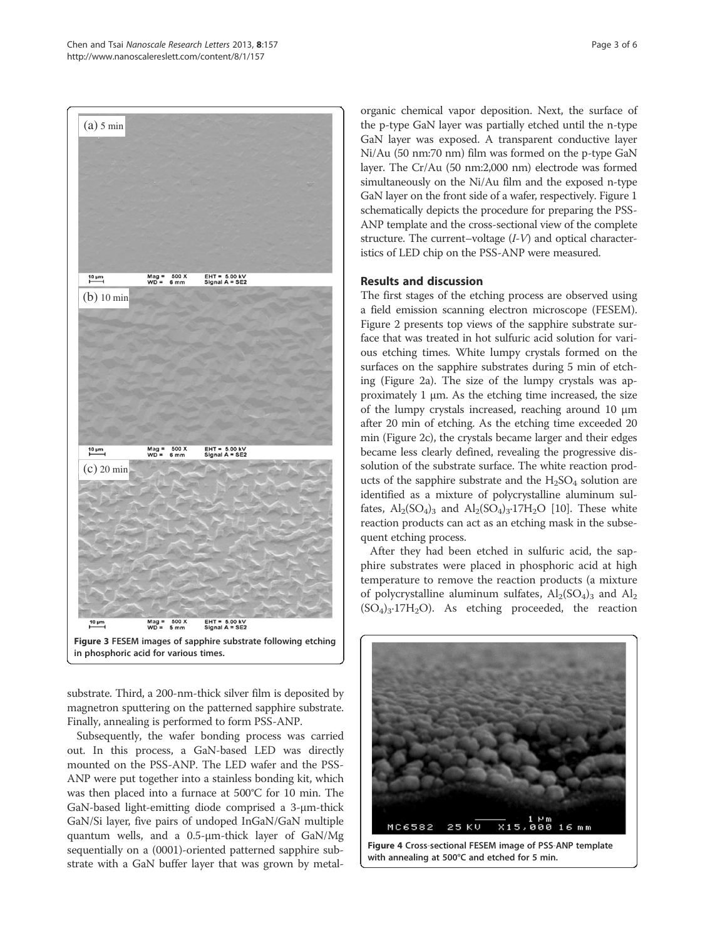

substrate. Third, a 200-nm-thick silver film is deposited by magnetron sputtering on the patterned sapphire substrate. Finally, annealing is performed to form PSS-ANP.

Subsequently, the wafer bonding process was carried out. In this process, a GaN-based LED was directly mounted on the PSS-ANP. The LED wafer and the PSS-ANP were put together into a stainless bonding kit, which was then placed into a furnace at 500°C for 10 min. The GaN-based light-emitting diode comprised a 3-μm-thick GaN/Si layer, five pairs of undoped InGaN/GaN multiple quantum wells, and a 0.5-μm-thick layer of GaN/Mg sequentially on a (0001)-oriented patterned sapphire substrate with a GaN buffer layer that was grown by metal-

organic chemical vapor deposition. Next, the surface of the p-type GaN layer was partially etched until the n-type GaN layer was exposed. A transparent conductive layer Ni/Au (50 nm:70 nm) film was formed on the p-type GaN layer. The Cr/Au (50 nm:2,000 nm) electrode was formed simultaneously on the Ni/Au film and the exposed n-type GaN layer on the front side of a wafer, respectively. Figure 1 schematically depicts the procedure for preparing the PSS-ANP template and the cross-sectional view of the complete structure. The current–voltage  $(I-V)$  and optical characteristics of LED chip on the PSS-ANP were measured.

### Results and discussion

The first stages of the etching process are observed using a field emission scanning electron microscope (FESEM). Figure 2 presents top views of the sapphire substrate surface that was treated in hot sulfuric acid solution for various etching times. White lumpy crystals formed on the surfaces on the sapphire substrates during 5 min of etching (Figure 2a). The size of the lumpy crystals was approximately 1  $\mu$ m. As the etching time increased, the size of the lumpy crystals increased, reaching around 10 μm after 20 min of etching. As the etching time exceeded 20 min (Figure 2c), the crystals became larger and their edges became less clearly defined, revealing the progressive dissolution of the substrate surface. The white reaction products of the sapphire substrate and the  $H_2SO_4$  solution are identified as a mixture of polycrystalline aluminum sulfates,  $\text{Al}_2(\text{SO}_4)_{3}$  and  $\text{Al}_2(\text{SO}_4)_{3}$ . 17H<sub>2</sub>O [10]. These white reaction products can act as an etching mask in the subsequent etching process.

After they had been etched in sulfuric acid, the sapphire substrates were placed in phosphoric acid at high temperature to remove the reaction products (a mixture of polycrystalline aluminum sulfates,  $Al_2(SO_4)_3$  and  $Al_2$  $(SO<sub>4</sub>)<sub>3</sub>·17H<sub>2</sub>O$ . As etching proceeded, the reaction

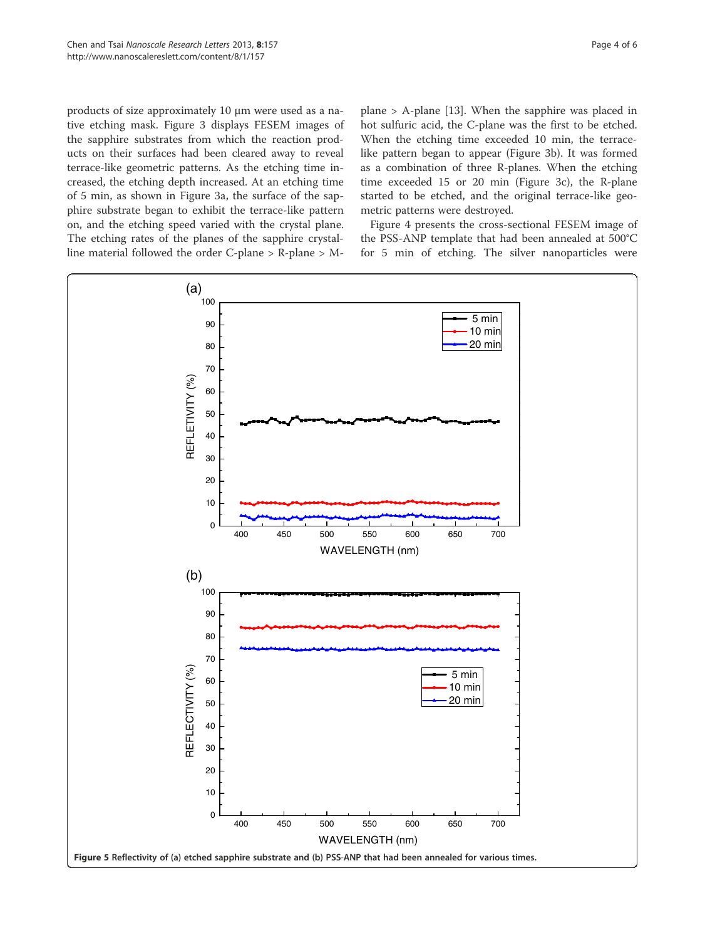products of size approximately 10 μm were used as a native etching mask. Figure 3 displays FESEM images of the sapphire substrates from which the reaction products on their surfaces had been cleared away to reveal terrace-like geometric patterns. As the etching time increased, the etching depth increased. At an etching time of 5 min, as shown in Figure 3a, the surface of the sapphire substrate began to exhibit the terrace-like pattern on, and the etching speed varied with the crystal plane. The etching rates of the planes of the sapphire crystalline material followed the order C-plane > R-plane > M-

plane > A-plane [13]. When the sapphire was placed in hot sulfuric acid, the C-plane was the first to be etched. When the etching time exceeded 10 min, the terracelike pattern began to appear (Figure 3b). It was formed as a combination of three R-planes. When the etching time exceeded 15 or 20 min (Figure 3c), the R-plane started to be etched, and the original terrace-like geometric patterns were destroyed.

Figure 4 presents the cross-sectional FESEM image of the PSS-ANP template that had been annealed at 500°C for 5 min of etching. The silver nanoparticles were

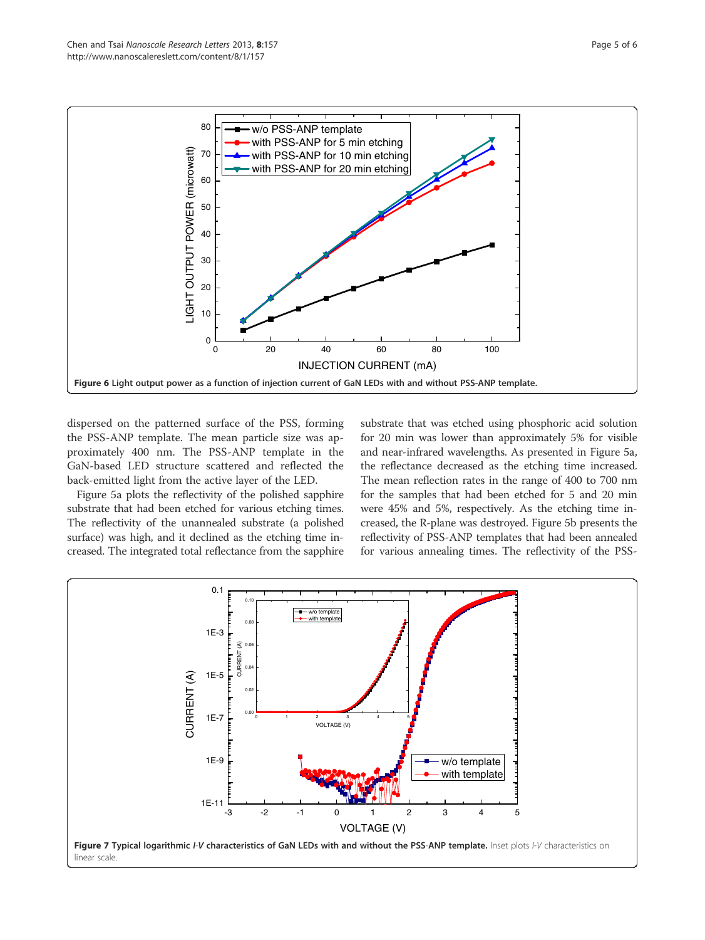

dispersed on the patterned surface of the PSS, forming the PSS-ANP template. The mean particle size was approximately 400 nm. The PSS-ANP template in the GaN-based LED structure scattered and reflected the back-emitted light from the active layer of the LED.

Figure 5a plots the reflectivity of the polished sapphire substrate that had been etched for various etching times. The reflectivity of the unannealed substrate (a polished surface) was high, and it declined as the etching time increased. The integrated total reflectance from the sapphire substrate that was etched using phosphoric acid solution for 20 min was lower than approximately 5% for visible and near-infrared wavelengths. As presented in Figure 5a, the reflectance decreased as the etching time increased. The mean reflection rates in the range of 400 to 700 nm for the samples that had been etched for 5 and 20 min were 45% and 5%, respectively. As the etching time increased, the R-plane was destroyed. Figure 5b presents the reflectivity of PSS-ANP templates that had been annealed for various annealing times. The reflectivity of the PSS-